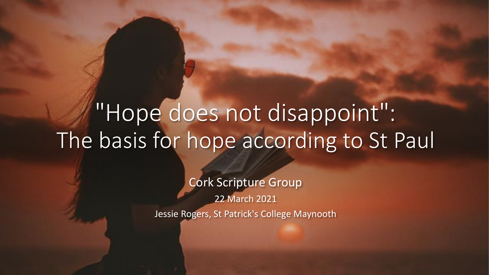## "Hope does not disappoint": The basis for hope according to St Paul

Cork Scripture Group 22 March 2021 Jessie Rogers, St Patrick's College Maynooth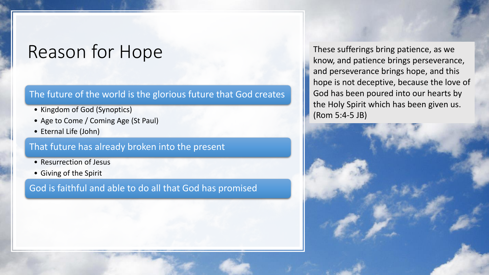### Reason for Hope

#### The future of the world is the glorious future that God creates

- Kingdom of God (Synoptics)
- Age to Come / Coming Age (St Paul)
- Eternal Life (John)

#### That future has already broken into the present

- Resurrection of Jesus
- Giving of the Spirit

#### God is faithful and able to do all that God has promised

These sufferings bring patience, as we know, and patience brings perseverance, and perseverance brings hope, and this hope is not deceptive, because the love of God has been poured into our hearts by the Holy Spirit which has been given us. (Rom 5:4-5 JB)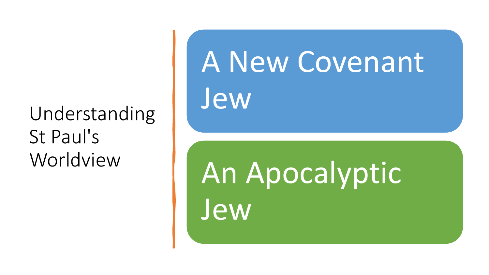### Understanding St Paul's Worldview

# A New Covenant Jew

An Apocalyptic Jew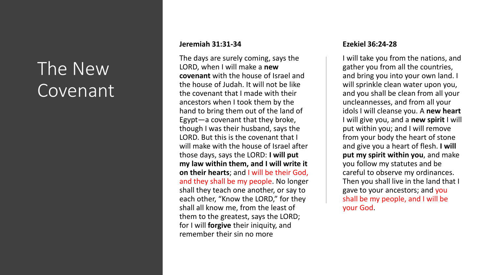### The New Covenant

#### **Jeremiah 31:31 -34**

The days are surely coming, says the LORD, when I will make a **new covenant** with the house of Israel and the house of Judah. It will not be like the covenant that I made with their ancestors when I took them by the hand to bring them out of the land of Egypt —a covenant that they broke, though I was their husband, says the LORD. But this is the covenant that I will make with the house of Israel after those days, says the LORD: **I will put my law within them, and I will write it on their hearts**; and I will be their God, and they shall be my people. No longer shall they teach one another, or say to each other, "Know the LORD," for they shall all know me, from the least of them to the greatest, says the LORD; for I will **forgive** their iniquity, and remember their sin no more

#### **Ezekiel 36:24 -28**

I will take you from the nations, and gather you from all the countries, and bring you into your own land. I will sprinkle clean water upon you, and you shall be clean from all your uncleannesses, and from all your idols I will cleanse you. A **new heart** I will give you, and a **new spirit** I will put within you; and I will remove from your body the heart of stone and give you a heart of flesh. **I will put my spirit within you**, and make you follow my statutes and be careful to observe my ordinances. Then you shall live in the land that I gave to your ancestors; and you shall be my people, and I will be your God .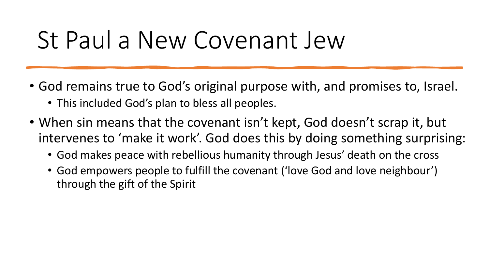## St Paul a New Covenant Jew

- God remains true to God's original purpose with, and promises to, Israel.
	- This included God's plan to bless all peoples.
- When sin means that the covenant isn't kept, God doesn't scrap it, but intervenes to 'make it work'. God does this by doing something surprising:
	- God makes peace with rebellious humanity through Jesus' death on the cross
	- God empowers people to fulfill the covenant ('love God and love neighbour') through the gift of the Spirit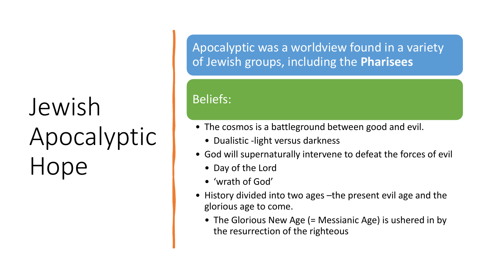# Jewish Apocalyptic Hope

Apocalyptic was a worldview found in a variety of Jewish groups, including the **Pharisees**

#### Beliefs:

- The cosmos is a battleground between good and evil.
	- Dualistic -light versus darkness
- God will supernaturally intervene to defeat the forces of evil
	- Day of the Lord
	- 'wrath of God'
- History divided into two ages –the present evil age and the glorious age to come.
	- The Glorious New Age (= Messianic Age) is ushered in by the resurrection of the righteous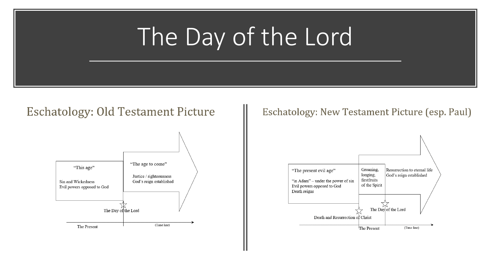# The Day of the Lord

#### **Eschatology: Old Testament Picture**



Eschatology: New Testament Picture (esp. Paul)

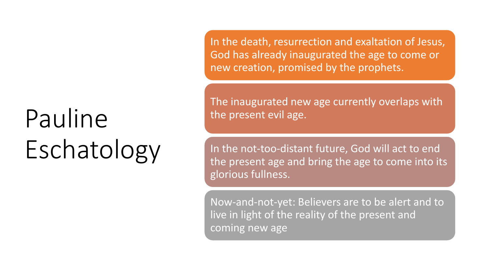# Pauline Eschatology

In the death, resurrection and exaltation of Jesus, God has already inaugurated the age to come or new creation, promised by the prophets.

The inaugurated new age currently overlaps with the present evil age.

In the not-too-distant future, God will act to end the present age and bring the age to come into its glorious fullness.

Now-and-not-yet: Believers are to be alert and to live in light of the reality of the present and coming new age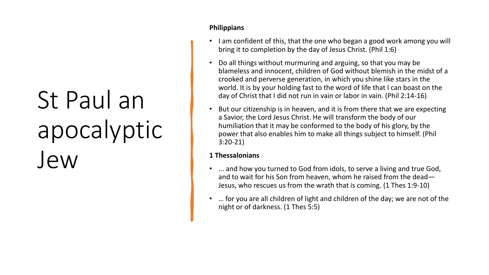# St Paul an apocalyptic Jew

#### **Philippians**

- I am confident of this, that the one who began a good work among you will bring it to completion by the day of Jesus Christ. (Phil 1:6)
- Do all things without murmuring and arguing, so that you may be blameless and innocent, children of God without blemish in the midst of a crooked and perverse generation, in which you shine like stars in the world. It is by your holding fast to the word of life that I can boast on the day of Christ that I did not run in vain or labor in vain. (Phil 2:14-16)
- But our citizenship is in heaven, and it is from there that we are expecting a Savior, the Lord Jesus Christ. He will transform the body of our humiliation that it may be conformed to the body of his glory, by the power that also enables him to make all things subject to himself. (Phil 3:20-21)

#### **1 Thessalonians**

- ... and how you turned to God from idols, to serve a living and true God, and to wait for his Son from heaven, whom he raised from the dead— Jesus, who rescues us from the wrath that is coming. (1 Thes 1:9-10)
- … for you are all children of light and children of the day; we are not of the night or of darkness. (1 Thes 5:5)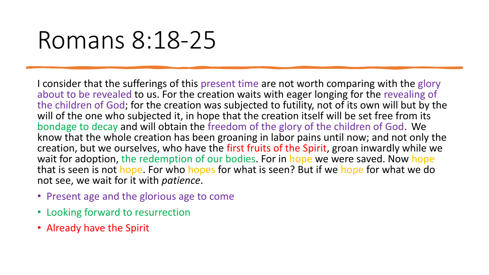# Romans 8:18-25

I consider that the sufferings of this present time are not worth comparing with the glory about to be revealed to us. For the creation waits with eager longing for the revealing of the children of God; for the creation was subjected to futility, not of its own will but by the will of the one who subjected it, in hope that the creation itself will be set free from its bondage to decay and will obtain the freedom of the glory of the children of God. We know that the whole creation has been groaning in labor pains until now; and not only the creation, but we ourselves, who have the first fruits of the Spirit, groan inwardly while we wait for adoption, the redemption of our bodies. For in hope we were saved. Now hope that is seen is not hope. For who hopes for what is seen? But if we hope for what we do not see, we wait for it with *patience*.

- Present age and the glorious age to come
- Looking forward to resurrection
- Already have the Spirit